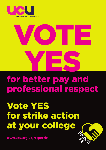

# VOTE YES

### for better pay and professional respect

## Vote YES for strike action at your college



**www.ucu.org.uk/respectfe**